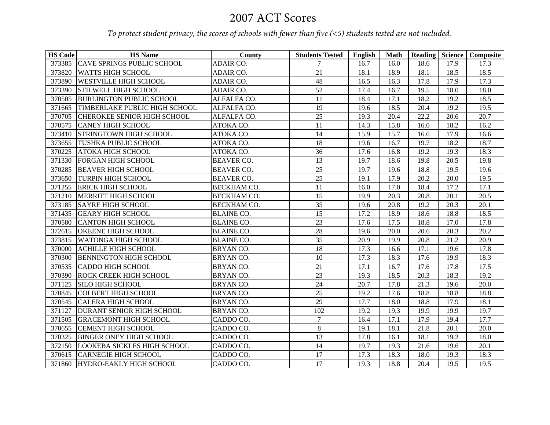## 2007 ACT Scores

*To protect student privacy, the scores of schools with fewer than five (<5) students tested are not included.*

| <b>HS Code</b> | <b>HS</b> Name                     | County             | <b>Students Tested</b> | <b>English</b> | <b>Math</b> |      | Reading Science | Composite |
|----------------|------------------------------------|--------------------|------------------------|----------------|-------------|------|-----------------|-----------|
| 373385         | <b>CAVE SPRINGS PUBLIC SCHOOL</b>  | ADAIR CO.          | 7                      | 16.7           | 16.0        | 18.6 | 17.9            | 17.3      |
| 373820         | <b>WATTS HIGH SCHOOL</b>           | ADAIR CO.          | $\overline{21}$        | 18.1           | 18.9        | 18.1 | 18.5            | 18.5      |
| 373890         | <b>WESTVILLE HIGH SCHOOL</b>       | ADAIR CO.          | 48                     | 16.5           | 16.3        | 17.8 | 17.9            | 17.3      |
| 373390         | STILWELL HIGH SCHOOL               | ADAIR CO.          | 52                     | 17.4           | 16.7        | 19.5 | 18.0            | 18.0      |
| 370505         | <b>BURLINGTON PUBLIC SCHOOL</b>    | ALFALFA CO.        | 11                     | 18.4           | 17.1        | 18.2 | 19.2            | 18.5      |
| 371665         | TIMBERLAKE PUBLIC HIGH SCHOOL      | ALFALFA CO.        | 19                     | 19.6           | 18.5        | 20.4 | 19.2            | 19.5      |
| 370705         | <b>CHEROKEE SENIOR HIGH SCHOOL</b> | ALFALFA CO.        | 25                     | 19.3           | 20.4        | 22.2 | 20.6            | 20.7      |
| 370575         | <b>CANEY HIGH SCHOOL</b>           | ATOKA CO.          | 11                     | 14.3           | 15.8        | 16.0 | 18.2            | 16.2      |
| 373410         | STRINGTOWN HIGH SCHOOL             | ATOKA CO.          | 14                     | 15.9           | 15.7        | 16.6 | 17.9            | 16.6      |
| 373655         | TUSHKA PUBLIC SCHOOL               | ATOKA CO.          | 18                     | 19.6           | 16.7        | 19.7 | 18.2            | 18.7      |
| 370225         | <b>ATOKA HIGH SCHOOL</b>           | ATOKA CO.          | 36                     | 17.6           | 16.8        | 19.2 | 19.3            | 18.3      |
| 371330         | <b>FORGAN HIGH SCHOOL</b>          | <b>BEAVER CO.</b>  | 13                     | 19.7           | 18.6        | 19.8 | 20.5            | 19.8      |
| 370285         | <b>BEAVER HIGH SCHOOL</b>          | <b>BEAVER CO.</b>  | 25                     | 19.7           | 19.6        | 18.8 | 19.5            | 19.6      |
| 373650         | TURPIN HIGH SCHOOL                 | <b>BEAVER CO.</b>  | 25                     | 19.1           | 17.9        | 20.2 | 20.0            | 19.5      |
| 371255         | <b>ERICK HIGH SCHOOL</b>           | <b>BECKHAM CO.</b> | 11                     | 16.0           | 17.0        | 18.4 | 17.2            | 17.1      |
| 371210         | MERRITT HIGH SCHOOL                | <b>BECKHAM CO.</b> | 15                     | 19.9           | 20.3        | 20.8 | 20.1            | 20.5      |
| 373185         | <b>SAYRE HIGH SCHOOL</b>           | <b>BECKHAM CO.</b> | 35                     | 19.6           | 20.8        | 19.2 | 20.3            | 20.1      |
| 371435         | <b>GEARY HIGH SCHOOL</b>           | <b>BLAINE CO.</b>  | 15                     | 17.2           | 18.9        | 18.6 | 18.8            | 18.5      |
| 370580         | <b>CANTON HIGH SCHOOL</b>          | <b>BLAINE CO.</b>  | 23                     | 17.6           | 17.5        | 18.8 | 17.0            | 17.8      |
| 372615         | <b>OKEENE HIGH SCHOOL</b>          | <b>BLAINE CO.</b>  | 28                     | 19.6           | 20.0        | 20.6 | 20.3            | 20.2      |
| 373815         | WATONGA HIGH SCHOOL                | <b>BLAINE CO.</b>  | 35                     | 20.9           | 19.9        | 20.8 | 21.2            | 20.9      |
| 370000         | <b>ACHILLE HIGH SCHOOL</b>         | <b>BRYANCO.</b>    | 18                     | 17.3           | 16.6        | 17.1 | 19.6            | 17.8      |
| 370300         | <b>BENNINGTON HIGH SCHOOL</b>      | BRYAN CO.          | 10                     | 17.3           | 18.3        | 17.6 | 19.9            | 18.3      |
| 370535         | <b>CADDO HIGH SCHOOL</b>           | BRYAN CO.          | 21                     | 17.1           | 16.7        | 17.6 | 17.8            | 17.5      |
| 370390         | <b>ROCK CREEK HIGH SCHOOL</b>      | BRYAN CO.          | 23                     | 19.3           | 18.5        | 20.3 | 18.3            | 19.2      |
| 371125         | <b>SILO HIGH SCHOOL</b>            | BRYAN CO.          | $\overline{24}$        | 20.7           | 17.8        | 21.3 | 19.6            | 20.0      |
| 370845         | <b>COLBERT HIGH SCHOOL</b>         | BRYAN CO.          | 25                     | 19.2           | 17.6        | 18.8 | 18.8            | 18.8      |
| 370545         | <b>CALERA HIGH SCHOOL</b>          | BRYAN CO.          | 29                     | 17.7           | 18.0        | 18.8 | 17.9            | 18.1      |
| 371127         | DURANT SENIOR HIGH SCHOOL          | BRYAN CO.          | 102                    | 19.2           | 19.3        | 19.9 | 19.9            | 19.7      |
| 371505         | <b>GRACEMONT HIGH SCHOOL</b>       | CADDO CO.          | $\overline{7}$         | 16.4           | 17.1        | 17.9 | 19.4            | 17.7      |
| 370655         | <b>CEMENT HIGH SCHOOL</b>          | CADDO CO.          | $8\,$                  | 19.1           | 18.1        | 21.8 | 20.1            | 20.0      |
| 370325         | <b>BINGER ONEY HIGH SCHOOL</b>     | CADDO CO.          | 13                     | 17.8           | 16.1        | 18.1 | 19.2            | 18.0      |
| 372150         | <b>LOOKEBA SICKLES HIGH SCHOOL</b> | CADDO CO.          | 14                     | 19.7           | 19.3        | 21.6 | 19.6            | 20.1      |
| 370615         | <b>CARNEGIE HIGH SCHOOL</b>        | CADDO CO.          | 17                     | 17.3           | 18.3        | 18.0 | 19.3            | 18.3      |
| 371860         | <b>HYDRO-EAKLY HIGH SCHOOL</b>     | CADDO CO.          | 17                     | 19.3           | 18.8        | 20.4 | 19.5            | 19.5      |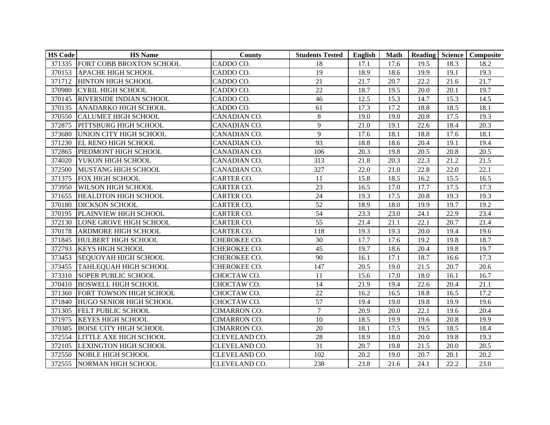| <b>HS Code</b> | <b>HS</b> Name                  | County              | <b>Students Tested</b> | English | <b>Math</b> |      |      | Reading Science Composite |
|----------------|---------------------------------|---------------------|------------------------|---------|-------------|------|------|---------------------------|
|                | 371335 FORT COBB BROXTON SCHOOL | CADDO CO.           | 18                     | 17.1    | 17.6        | 19.5 | 18.3 | 18.2                      |
| 370153         | APACHE HIGH SCHOOL              | CADDO CO.           | 19                     | 18.9    | 18.6        | 19.9 | 19.1 | 19.3                      |
|                | 371712 HINTON HIGH SCHOOL       | CADDO CO.           | 21                     | 21.7    | 20.7        | 22.2 | 21.6 | 21.7                      |
| 370980         | <b>CYRIL HIGH SCHOOL</b>        | CADDO CO.           | 22                     | 18.7    | 19.5        | 20.0 | 20.1 | 19.7                      |
| 370145         | RIVERSIDE INDIAN SCHOOL         | CADDO CO.           | 46                     | 12.5    | 15.3        | 14.7 | 15.3 | 14.5                      |
| 370135         | ANADARKO HIGH SCHOOL            | CADDO CO.           | 61                     | 17.3    | 17.2        | 18.8 | 18.5 | 18.1                      |
| 370550         | <b>CALUMET HIGH SCHOOL</b>      | CANADIAN CO.        | $8\,$                  | 19.0    | 19.0        | 20.8 | 17.5 | 19.3                      |
| 372875         | PITTSBURG HIGH SCHOOL           | CANADIAN CO.        | 9                      | 21.0    | 19.1        | 22.6 | 18.4 | 20.3                      |
| 373680         | UNION CITY HIGH SCHOOL          | CANADIAN CO.        | $\mathbf{Q}$           | 17.6    | 18.1        | 18.8 | 17.6 | 18.1                      |
| 371230         | <b>EL RENO HIGH SCHOOL</b>      | CANADIAN CO.        | 93                     | 18.8    | 18.6        | 20.4 | 19.1 | 19.4                      |
| 372865         | PIEDMONT HIGH SCHOOL            | CANADIAN CO.        | 106                    | 20.3    | 19.8        | 20.5 | 20.8 | 20.5                      |
| 374020         | YUKON HIGH SCHOOL               | CANADIAN CO.        | 313                    | 21.8    | 20.3        | 22.3 | 21.2 | 21.5                      |
| 372500         | MUSTANG HIGH SCHOOL             | CANADIAN CO.        | 327                    | 22.0    | 21.0        | 22.8 | 22.0 | 22.1                      |
| 371375         | FOX HIGH SCHOOL                 | <b>CARTER CO.</b>   | 11                     | 15.8    | 18.5        | 16.2 | 15.5 | 16.5                      |
| 373950         | <b>WILSON HIGH SCHOOL</b>       | CARTER CO.          | 23                     | 16.5    | 17.0        | 17.7 | 17.5 | 17.3                      |
| 371655         | <b>HEALDTON HIGH SCHOOL</b>     | <b>CARTER CO.</b>   | 24                     | 19.3    | 17.5        | 20.8 | 19.3 | 19.3                      |
| 370180         | <b>DICKSON SCHOOL</b>           | <b>CARTER CO.</b>   | 52                     | 18.9    | 18.0        | 19.9 | 19.7 | 19.2                      |
| 370195         | PLAINVIEW HIGH SCHOOL           | <b>CARTER CO.</b>   | 54                     | 23.3    | 23.0        | 24.1 | 22.9 | 23.4                      |
| 372130         | LONE GROVE HIGH SCHOOL          | <b>CARTER CO.</b>   | 55                     | 21.4    | 21.1        | 22.1 | 20.7 | 21.4                      |
| 370178         | <b>ARDMORE HIGH SCHOOL</b>      | <b>CARTER CO.</b>   | 118                    | 19.3    | 19.3        | 20.0 | 19.4 | 19.6                      |
|                | 371845 HULBERT HIGH SCHOOL      | CHEROKEE CO.        | 30                     | 17.7    | 17.6        | 19.2 | 19.8 | 18.7                      |
| 372793         | <b>KEYS HIGH SCHOOL</b>         | CHEROKEE CO.        | 45                     | 19.7    | 18.6        | 20.4 | 19.8 | 19.7                      |
| 373453         | <b>SEQUOYAH HIGH SCHOOL</b>     | CHEROKEE CO.        | 90                     | 16.1    | 17.1        | 18.7 | 16.6 | 17.3                      |
| 373455         | <b>TAHLEQUAH HIGH SCHOOL</b>    | CHEROKEE CO.        | 147                    | 20.5    | 19.0        | 21.5 | 20.7 | 20.6                      |
| 373310         | <b>SOPER PUBLIC SCHOOL</b>      | CHOCTAW CO.         | 11                     | 15.6    | 17.0        | 18.0 | 16.1 | 16.7                      |
| 370410         | <b>BOSWELL HIGH SCHOOL</b>      | CHOCTAW CO.         | 14                     | 21.9    | 19.4        | 22.6 | 20.4 | 21.1                      |
| 371360         | FORT TOWSON HIGH SCHOOL         | CHOCTAW CO.         | $\overline{22}$        | 16.2    | 16.5        | 18.8 | 16.5 | 17.2                      |
| 371840         | HUGO SENIOR HIGH SCHOOL         | CHOCTAW CO.         | 57                     | 19.4    | 19.0        | 19.8 | 19.9 | 19.6                      |
| 371305         | <b>FELT PUBLIC SCHOOL</b>       | CIMARRON CO.        | $\tau$                 | 20.9    | 20.0        | 22.1 | 19.6 | 20.4                      |
| 371975         | <b>KEYES HIGH SCHOOL</b>        | <b>CIMARRON CO.</b> | 10                     | 18.5    | 19.9        | 19.6 | 20.8 | 19.9                      |
| 370385         | <b>BOISE CITY HIGH SCHOOL</b>   | <b>CIMARRON CO.</b> | $20\,$                 | 18.1    | 17.5        | 19.5 | 18.5 | 18.4                      |
| 372554         | <b>LITTLE AXE HIGH SCHOOL</b>   | CLEVELAND CO.       | 28                     | 18.9    | 18.0        | 20.0 | 19.8 | 19.3                      |
|                | 372105 LEXINGTON HIGH SCHOOL    | CLEVELAND CO.       | 31                     | 20.7    | 19.8        | 21.5 | 20.0 | 20.5                      |
| 372550         | <b>NOBLE HIGH SCHOOL</b>        | CLEVELAND CO.       | 102                    | 20.2    | 19.0        | 20.7 | 20.1 | 20.2                      |
|                | 372555 NORMAN HIGH SCHOOL       | CLEVELAND CO.       | 238                    | 23.8    | 21.6        | 24.1 | 22.2 | 23.0                      |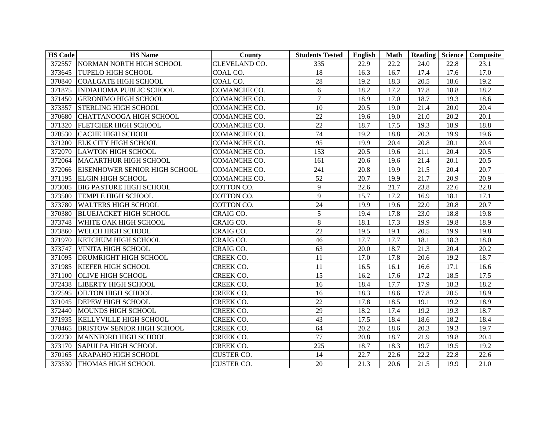| <b>HS Code</b> | <b>HS</b> Name                       | County            | <b>Students Tested</b> | English | <b>Math</b> |      |      | Reading Science Composite |
|----------------|--------------------------------------|-------------------|------------------------|---------|-------------|------|------|---------------------------|
| 372557         | NORMAN NORTH HIGH SCHOOL             | CLEVELAND CO.     | 335                    | 22.9    | 22.2        | 24.0 | 22.8 | 23.1                      |
| 373645         | <b>TUPELO HIGH SCHOOL</b>            | COAL CO.          | 18                     | 16.3    | 16.7        | 17.4 | 17.6 | 17.0                      |
| 370840         | <b>COALGATE HIGH SCHOOL</b>          | COAL CO.          | 28                     | 19.2    | 18.3        | 20.5 | 18.6 | 19.2                      |
| 371875         | <b>INDIAHOMA PUBLIC SCHOOL</b>       | COMANCHE CO.      | 6                      | 18.2    | 17.2        | 17.8 | 18.8 | 18.2                      |
| 371450         | <b>GERONIMO HIGH SCHOOL</b>          | COMANCHE CO.      | $\overline{7}$         | 18.9    | 17.0        | 18.7 | 19.3 | 18.6                      |
| 373357         | <b>STERLING HIGH SCHOOL</b>          | COMANCHE CO.      | 10                     | 20.5    | 19.0        | 21.4 | 20.0 | 20.4                      |
| 370680         | CHATTANOOGA HIGH SCHOOL              | COMANCHE CO.      | 22                     | 19.6    | 19.0        | 21.0 | 20.2 | 20.1                      |
| 371320         | <b>FLETCHER HIGH SCHOOL</b>          | COMANCHE CO.      | 22                     | 18.7    | 17.5        | 19.3 | 18.9 | 18.8                      |
| 370530         | <b>CACHE HIGH SCHOOL</b>             | COMANCHE CO.      | 74                     | 19.2    | 18.8        | 20.3 | 19.9 | 19.6                      |
| 371200         | <b>ELK CITY HIGH SCHOOL</b>          | COMANCHE CO.      | 95                     | 19.9    | 20.4        | 20.8 | 20.1 | 20.4                      |
| 372070         | <b>LAWTON HIGH SCHOOL</b>            | COMANCHE CO.      | 153                    | 20.5    | 19.6        | 21.1 | 20.4 | 20.5                      |
| 372064         | <b>MACARTHUR HIGH SCHOOL</b>         | COMANCHE CO.      | 161                    | 20.6    | 19.6        | 21.4 | 20.1 | 20.5                      |
| 372066         | <b>EISENHOWER SENIOR HIGH SCHOOL</b> | COMANCHE CO.      | 241                    | 20.8    | 19.9        | 21.5 | 20.4 | 20.7                      |
| 371195         | <b>ELGIN HIGH SCHOOL</b>             | COMANCHE CO.      | $\overline{52}$        | 20.7    | 19.9        | 21.7 | 20.9 | 20.9                      |
| 373005         | <b>BIG PASTURE HIGH SCHOOL</b>       | COTTON CO.        | 9                      | 22.6    | 21.7        | 23.8 | 22.6 | 22.8                      |
| 373500         | <b>TEMPLE HIGH SCHOOL</b>            | COTTON CO.        | 9                      | 15.7    | 17.2        | 16.9 | 18.1 | 17.1                      |
| 373780         | <b>WALTERS HIGH SCHOOL</b>           | COTTON CO.        | 24                     | 19.9    | 19.6        | 22.0 | 20.8 | 20.7                      |
| 370380         | <b>BLUEJACKET HIGH SCHOOL</b>        | CRAIG CO.         | 5                      | 19.4    | 17.8        | 23.0 | 18.8 | 19.8                      |
| 373748         | WHITE OAK HIGH SCHOOL                | CRAIG CO.         | 8                      | 18.1    | 17.3        | 19.9 | 19.8 | 18.9                      |
| 373860         | WELCH HIGH SCHOOL                    | CRAIG CO.         | 22                     | 19.5    | 19.1        | 20.5 | 19.9 | 19.8                      |
| 371970         | <b>KETCHUM HIGH SCHOOL</b>           | CRAIG CO.         | 46                     | 17.7    | 17.7        | 18.1 | 18.3 | 18.0                      |
| 373747         | <b>VINITA HIGH SCHOOL</b>            | CRAIG CO.         | 63                     | 20.0    | 18.7        | 21.3 | 20.4 | 20.2                      |
| 371095         | <b>DRUMRIGHT HIGH SCHOOL</b>         | <b>CREEK CO.</b>  | 11                     | 17.0    | 17.8        | 20.6 | 19.2 | 18.7                      |
| 371985         | <b>KIEFER HIGH SCHOOL</b>            | CREEK CO.         | 11                     | 16.5    | 16.1        | 16.6 | 17.1 | 16.6                      |
| 371100         | <b>OLIVE HIGH SCHOOL</b>             | <b>CREEK CO.</b>  | 15                     | 16.2    | 17.6        | 17.2 | 18.5 | 17.5                      |
| 372438         | <b>LIBERTY HIGH SCHOOL</b>           | <b>CREEK CO.</b>  | 16                     | 18.4    | 17.7        | 17.9 | 18.3 | 18.2                      |
| 372595         | <b>OILTON HIGH SCHOOL</b>            | <b>CREEK CO.</b>  | 16                     | 18.3    | 18.6        | 17.8 | 20.5 | 18.9                      |
| 371045         | <b>DEPEW HIGH SCHOOL</b>             | CREEK CO.         | 22                     | 17.8    | 18.5        | 19.1 | 19.2 | 18.9                      |
| 372440         | MOUNDS HIGH SCHOOL                   | <b>CREEK CO.</b>  | 29                     | 18.2    | 17.4        | 19.2 | 19.3 | 18.7                      |
| 371935         | <b>KELLYVILLE HIGH SCHOOL</b>        | <b>CREEK CO.</b>  | 43                     | 17.5    | 18.4        | 18.6 | 18.2 | 18.4                      |
| 370465         | <b>BRISTOW SENIOR HIGH SCHOOL</b>    | <b>CREEK CO.</b>  | 64                     | 20.2    | 18.6        | 20.3 | 19.3 | 19.7                      |
| 372230         | MANNFORD HIGH SCHOOL                 | <b>CREEK CO.</b>  | 77                     | 20.8    | 18.7        | 21.9 | 19.8 | 20.4                      |
| 373170         | <b>SAPULPA HIGH SCHOOL</b>           | <b>CREEK CO.</b>  | 225                    | 18.7    | 18.3        | 19.7 | 19.5 | 19.2                      |
| 370165         | <b>ARAPAHO HIGH SCHOOL</b>           | <b>CUSTER CO.</b> | 14                     | 22.7    | 22.6        | 22.2 | 22.8 | 22.6                      |
|                | 373530 THOMAS HIGH SCHOOL            | <b>CUSTER CO.</b> | 20                     | 21.3    | 20.6        | 21.5 | 19.9 | 21.0                      |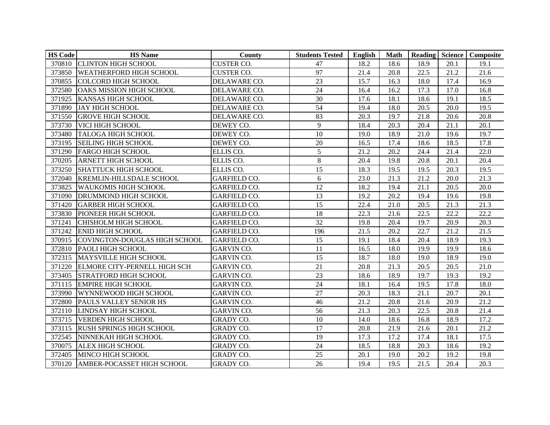| <b>HS Code</b> | <b>HS</b> Name                      | County              | <b>Students Tested</b> | English | <b>Math</b> |      |      | Reading Science   Composite |
|----------------|-------------------------------------|---------------------|------------------------|---------|-------------|------|------|-----------------------------|
|                | 370810 CLINTON HIGH SCHOOL          | <b>CUSTER CO.</b>   | 47                     | 18.2    | 18.6        | 18.9 | 20.1 | 19.1                        |
|                | 373850 WEATHERFORD HIGH SCHOOL      | <b>CUSTER CO.</b>   | 97                     | 21.4    | 20.8        | 22.5 | 21.2 | 21.6                        |
| 370855         | <b>COLCORD HIGH SCHOOL</b>          | DELAWARE CO.        | 23                     | 15.7    | 16.3        | 18.0 | 17.4 | 16.9                        |
| 372580         | <b>OAKS MISSION HIGH SCHOOL</b>     | DELAWARE CO.        | 24                     | 16.4    | 16.2        | 17.3 | 17.0 | 16.8                        |
| 371925         | <b>KANSAS HIGH SCHOOL</b>           | DELAWARE CO.        | 30                     | 17.6    | 18.1        | 18.6 | 19.1 | 18.5                        |
| 371890         | <b>JAY HIGH SCHOOL</b>              | DELAWARE CO.        | 54                     | 19.4    | 18.0        | 20.5 | 20.0 | 19.5                        |
| 371550         | <b>GROVE HIGH SCHOOL</b>            | DELAWARE CO.        | 83                     | 20.3    | 19.7        | 21.8 | 20.6 | 20.8                        |
| 373730         | VICI HIGH SCHOOL                    | DEWEY CO.           | 9                      | 18.4    | 20.3        | 20.4 | 21.1 | 20.1                        |
| 373480         | <b>TALOGA HIGH SCHOOL</b>           | DEWEY CO.           | 10                     | 19.0    | 18.9        | 21.0 | 19.6 | 19.7                        |
| 373195         | <b>SEILING HIGH SCHOOL</b>          | DEWEY CO.           | 20                     | 16.5    | 17.4        | 18.6 | 18.5 | 17.8                        |
| 371290         | <b>FARGO HIGH SCHOOL</b>            | ELLIS CO.           | 5                      | 21.2    | 20.2        | 24.4 | 21.4 | 22.0                        |
| 370205         | <b>ARNETT HIGH SCHOOL</b>           | ELLIS CO.           | $\,8\,$                | 20.4    | 19.8        | 20.8 | 20.1 | 20.4                        |
| 373250         | <b>SHATTUCK HIGH SCHOOL</b>         | ELLIS CO.           | $\overline{15}$        | 18.3    | 19.5        | 19.5 | 20.3 | 19.5                        |
| 372040         | <b>KREMLIN-HILLSDALE SCHOOL</b>     | <b>GARFIELD CO.</b> | 6                      | 23.0    | 21.3        | 21.2 | 20.0 | 21.3                        |
| 373825         | <b>WAUKOMIS HIGH SCHOOL</b>         | <b>GARFIELD CO.</b> | 12                     | 18.2    | 19.4        | 21.1 | 20.5 | 20.0                        |
| 371090         | <b>DRUMMOND HIGH SCHOOL</b>         | <b>GARFIELD CO.</b> | 13                     | 19.2    | 20.2        | 19.4 | 19.6 | 19.8                        |
| 371420         | <b>GARBER HIGH SCHOOL</b>           | <b>GARFIELD CO.</b> | 15                     | 22.4    | 21.0        | 20.5 | 21.3 | 21.3                        |
| 373830         | PIONEER HIGH SCHOOL                 | <b>GARFIELD CO.</b> | 18                     | 22.3    | 21.6        | 22.5 | 22.2 | 22.2                        |
| 371241         | <b>CHISHOLM HIGH SCHOOL</b>         | <b>GARFIELD CO.</b> | 32                     | 19.8    | 20.4        | 19.7 | 20.9 | 20.3                        |
| 371242         | <b>ENID HIGH SCHOOL</b>             | <b>GARFIELD CO.</b> | 196                    | 21.5    | 20.2        | 22.7 | 21.2 | 21.5                        |
| 370915         | COVINGTON-DOUGLAS HIGH SCHOOL       | <b>GARFIELD CO.</b> | 15                     | 19.1    | 18.4        | 20.4 | 18.9 | 19.3                        |
| 372810         | <b>PAOLI HIGH SCHOOL</b>            | <b>GARVIN CO.</b>   | 11                     | 16.5    | 18.0        | 19.9 | 19.9 | 18.6                        |
| 372315         | MAYSVILLE HIGH SCHOOL               | <b>GARVIN CO.</b>   | 15                     | 18.7    | 18.0        | 19.0 | 18.9 | 19.0                        |
| 371220         | <b>ELMORE CITY-PERNELL HIGH SCH</b> | <b>GARVIN CO.</b>   | 21                     | 20.8    | 21.3        | 20.5 | 20.5 | 21.0                        |
| 373405         | <b>STRATFORD HIGH SCHOOL</b>        | <b>GARVIN CO.</b>   | 23                     | 18.6    | 18.9        | 19.7 | 19.3 | 19.2                        |
| 371115         | <b>EMPIRE HIGH SCHOOL</b>           | <b>GARVIN CO.</b>   | $\overline{24}$        | 18.1    | 16.4        | 19.5 | 17.8 | 18.0                        |
|                | 373990 WYNNEWOOD HIGH SCHOOL        | <b>GARVIN CO.</b>   | 27                     | 20.3    | 18.3        | 21.1 | 20.7 | 20.1                        |
| 372800         | PAULS VALLEY SENIOR HS              | GARVIN CO.          | 46                     | 21.2    | 20.8        | 21.6 | 20.9 | 21.2                        |
| 372110         | <b>LINDSAY HIGH SCHOOL</b>          | <b>GARVIN CO.</b>   | 56                     | 21.3    | 20.3        | 22.5 | 20.8 | 21.4                        |
| 373715         | <b>VERDEN HIGH SCHOOL</b>           | <b>GRADY CO.</b>    | 10                     | 14.0    | 18.6        | 16.8 | 18.9 | 17.2                        |
| 373115         | <b>RUSH SPRINGS HIGH SCHOOL</b>     | <b>GRADY CO.</b>    | 17                     | 20.8    | 21.9        | 21.6 | 20.1 | 21.2                        |
| 372545         | NINNEKAH HIGH SCHOOL                | <b>GRADY CO.</b>    | 19                     | 17.3    | 17.2        | 17.4 | 18.1 | 17.5                        |
| 370075         | <b>ALEX HIGH SCHOOL</b>             | <b>GRADY CO.</b>    | 24                     | 18.5    | 18.8        | 20.3 | 18.6 | 19.2                        |
| 372405         | MINCO HIGH SCHOOL                   | <b>GRADY CO.</b>    | 25                     | 20.1    | 19.0        | 20.2 | 19.2 | 19.8                        |
| 370120         | AMBER-POCASSET HIGH SCHOOL          | <b>GRADY CO.</b>    | 26                     | 19.4    | 19.5        | 21.5 | 20.4 | 20.3                        |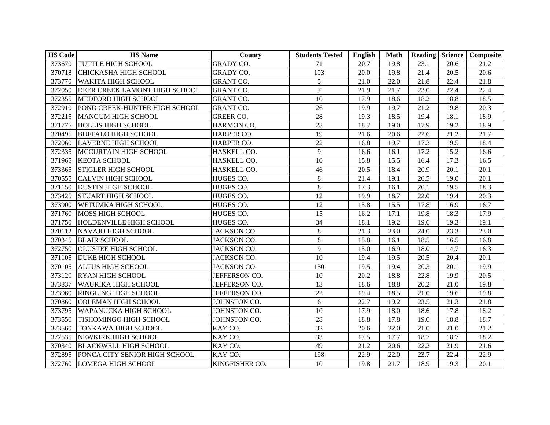| <b>HS Code</b> | <b>HS</b> Name                | County           | <b>Students Tested</b> | English | <b>Math</b> |      |      | Reading Science   Composite |
|----------------|-------------------------------|------------------|------------------------|---------|-------------|------|------|-----------------------------|
|                | 373670 TUTTLE HIGH SCHOOL     | <b>GRADY CO.</b> | 71                     | 20.7    | 19.8        | 23.1 | 20.6 | 21.2                        |
|                | 370718 CHICKASHA HIGH SCHOOL  | <b>GRADY CO.</b> | 103                    | 20.0    | 19.8        | 21.4 | 20.5 | 20.6                        |
| 373770         | <b>WAKITA HIGH SCHOOL</b>     | <b>GRANT CO.</b> | 5                      | 21.0    | 22.0        | 21.8 | 22.4 | 21.8                        |
| 372050         | DEER CREEK LAMONT HIGH SCHOOL | <b>GRANT CO.</b> | $\overline{7}$         | 21.9    | 21.7        | 23.0 | 22.4 | 22.4                        |
| 372355         | MEDFORD HIGH SCHOOL           | <b>GRANT CO.</b> | 10                     | 17.9    | 18.6        | 18.2 | 18.8 | 18.5                        |
| 372910         | POND CREEK-HUNTER HIGH SCHOOL | <b>GRANT CO.</b> | 26                     | 19.9    | 19.7        | 21.2 | 19.8 | 20.3                        |
|                | 372215 MANGUM HIGH SCHOOL     | <b>GREER CO.</b> | 28                     | 19.3    | 18.5        | 19.4 | 18.1 | 18.9                        |
|                | 371775 HOLLIS HIGH SCHOOL     | HARMON CO.       | 23                     | 18.7    | 19.0        | 17.9 | 19.2 | 18.9                        |
|                | 370495 BUFFALO HIGH SCHOOL    | HARPER CO.       | 19                     | 21.6    | 20.6        | 22.6 | 21.2 | 21.7                        |
| 372060         | <b>LAVERNE HIGH SCHOOL</b>    | HARPER CO.       | 22                     | 16.8    | 19.7        | 17.3 | 19.5 | 18.4                        |
| 372335         | MCCURTAIN HIGH SCHOOL         | HASKELL CO.      | 9                      | 16.6    | 16.1        | 17.2 | 15.2 | 16.6                        |
| 371965         | <b>KEOTA SCHOOL</b>           | HASKELL CO.      | 10                     | 15.8    | 15.5        | 16.4 | 17.3 | 16.5                        |
| 373365         | <b>STIGLER HIGH SCHOOL</b>    | HASKELL CO.      | 46                     | 20.5    | 18.4        | 20.9 | 20.1 | 20.1                        |
| 370555         | <b>CALVIN HIGH SCHOOL</b>     | HUGES CO.        | $8\,$                  | 21.4    | 19.1        | 20.5 | 19.0 | 20.1                        |
| 371150         | <b>DUSTIN HIGH SCHOOL</b>     | HUGES CO.        | $8\,$                  | 17.3    | 16.1        | 20.1 | 19.5 | 18.3                        |
| 373425         | <b>STUART HIGH SCHOOL</b>     | HUGES CO.        | 12                     | 19.9    | 18.7        | 22.0 | 19.4 | 20.3                        |
| 373900         | WETUMKA HIGH SCHOOL           | HUGES CO.        | 12                     | 15.8    | 15.5        | 17.8 | 16.9 | 16.7                        |
| 371760         | <b>MOSS HIGH SCHOOL</b>       | HUGES CO.        | 15                     | 16.2    | 17.1        | 19.8 | 18.3 | 17.9                        |
| 371750         | HOLDENVILLE HIGH SCHOOL       | HUGES CO.        | 34                     | 18.1    | 19.2        | 19.6 | 19.3 | 19.1                        |
| 370112         | <b>NAVAJO HIGH SCHOOL</b>     | JACKSON CO.      | $8\,$                  | 21.3    | 23.0        | 24.0 | 23.3 | 23.0                        |
|                | 370345 BLAIR SCHOOL           | JACKSON CO.      | $8\,$                  | 15.8    | 16.1        | 18.5 | 16.5 | 16.8                        |
| 372750         | <b>OLUSTEE HIGH SCHOOL</b>    | JACKSON CO.      | 9                      | 15.0    | 16.9        | 18.0 | 14.7 | 16.3                        |
|                | 371105 DUKE HIGH SCHOOL       | JACKSON CO.      | 10                     | 19.4    | 19.5        | 20.5 | 20.4 | 20.1                        |
| 370105         | <b>ALTUS HIGH SCHOOL</b>      | JACKSON CO.      | 150                    | 19.5    | 19.4        | 20.3 | 20.1 | 19.9                        |
| 373120         | <b>RYAN HIGH SCHOOL</b>       | JEFFERSON CO.    | 10                     | 20.2    | 18.8        | 22.8 | 19.9 | 20.5                        |
| 373837         | <b>WAURIKA HIGH SCHOOL</b>    | JEFFERSON CO.    | 13                     | 18.6    | 18.8        | 20.2 | 21.0 | 19.8                        |
| 373060         | <b>RINGLING HIGH SCHOOL</b>   | JEFFERSON CO.    | $\overline{22}$        | 19.4    | 18.5        | 21.0 | 19.6 | 19.8                        |
| 370860         | <b>COLEMAN HIGH SCHOOL</b>    | JOHNSTON CO.     | 6                      | 22.7    | 19.2        | 23.5 | 21.3 | 21.8                        |
| 373795         | <b>WAPANUCKA HIGH SCHOOL</b>  | JOHNSTON CO.     | 10                     | 17.9    | 18.0        | 18.6 | 17.8 | 18.2                        |
| 373550         | TISHOMINGO HIGH SCHOOL        | JOHNSTON CO.     | 28                     | 18.8    | 17.8        | 19.0 | 18.8 | 18.7                        |
| 373560         | <b>TONKAWA HIGH SCHOOL</b>    | KAY CO.          | 32                     | 20.6    | 22.0        | 21.0 | 21.0 | 21.2                        |
| 372535         | NEWKIRK HIGH SCHOOL           | KAY CO.          | 33                     | 17.5    | 17.7        | 18.7 | 18.7 | 18.2                        |
| 370340         | <b>BLACKWELL HIGH SCHOOL</b>  | KAY CO.          | 49                     | 21.2    | 20.6        | 22.2 | 21.9 | 21.6                        |
| 372895         | PONCA CITY SENIOR HIGH SCHOOL | KAY CO.          | 198                    | 22.9    | 22.0        | 23.7 | 22.4 | 22.9                        |
|                | 372760 LOMEGA HIGH SCHOOL     | KINGFISHER CO.   | 10                     | 19.8    | 21.7        | 18.9 | 19.3 | 20.1                        |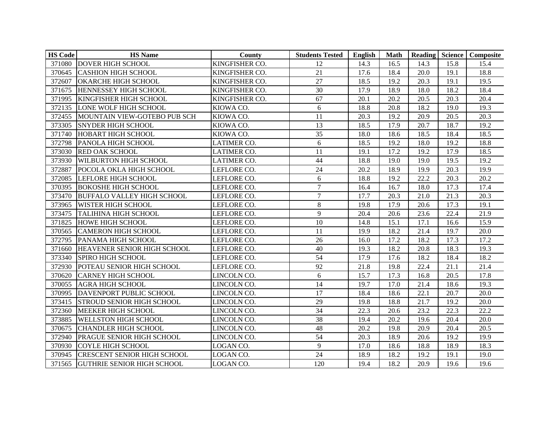| <b>HS Code</b> | <b>HS</b> Name                     | <b>County</b>      | <b>Students Tested</b> | <b>English</b> | Math | Reading Science |      | Composite |
|----------------|------------------------------------|--------------------|------------------------|----------------|------|-----------------|------|-----------|
|                | 371080 DOVER HIGH SCHOOL           | KINGFISHER CO.     | 12                     | 14.3           | 16.5 | 14.3            | 15.8 | 15.4      |
| 370645         | <b>CASHION HIGH SCHOOL</b>         | KINGFISHER CO.     | 21                     | 17.6           | 18.4 | 20.0            | 19.1 | 18.8      |
| 372607         | OKARCHE HIGH SCHOOL                | KINGFISHER CO.     | 27                     | 18.5           | 19.2 | 20.3            | 19.1 | 19.5      |
| 371675         | HENNESSEY HIGH SCHOOL              | KINGFISHER CO.     | 30                     | 17.9           | 18.9 | 18.0            | 18.2 | 18.4      |
| 371995         | <b>KINGFISHER HIGH SCHOOL</b>      | KINGFISHER CO.     | 67                     | 20.1           | 20.2 | 20.5            | 20.3 | 20.4      |
| 372135         | LONE WOLF HIGH SCHOOL              | KIOWA CO.          | 6                      | 18.8           | 20.8 | 18.2            | 19.0 | 19.3      |
| 372455         | MOUNTAIN VIEW-GOTEBO PUB SCH       | KIOWA CO.          | 11                     | 20.3           | 19.2 | 20.9            | 20.5 | 20.3      |
| 373305         | <b>SNYDER HIGH SCHOOL</b>          | KIOWA CO.          | 13                     | 18.5           | 17.9 | 20.7            | 18.7 | 19.2      |
| 371740         | <b>HOBART HIGH SCHOOL</b>          | KIOWA CO.          | 35                     | 18.0           | 18.6 | 18.5            | 18.4 | 18.5      |
| 372798         | PANOLA HIGH SCHOOL                 | <b>LATIMER CO.</b> | 6                      | 18.5           | 19.2 | 18.0            | 19.2 | 18.8      |
| 373030         | <b>RED OAK SCHOOL</b>              | <b>LATIMER CO.</b> | 11                     | 19.1           | 17.2 | 19.2            | 17.9 | 18.5      |
| 373930         | <b>WILBURTON HIGH SCHOOL</b>       | <b>LATIMER CO.</b> | 44                     | 18.8           | 19.0 | 19.0            | 19.5 | 19.2      |
| 372887         | POCOLA OKLA HIGH SCHOOL            | LEFLORE CO.        | 24                     | 20.2           | 18.9 | 19.9            | 20.3 | 19.9      |
| 372085         | <b>LEFLORE HIGH SCHOOL</b>         | LEFLORE CO.        | 6                      | 18.8           | 19.2 | 22.2            | 20.3 | 20.2      |
| 370395         | <b>BOKOSHE HIGH SCHOOL</b>         | LEFLORE CO.        | $\overline{7}$         | 16.4           | 16.7 | 18.0            | 17.3 | 17.4      |
| 373470         | <b>BUFFALO VALLEY HIGH SCHOOL</b>  | LEFLORE CO.        | $\overline{7}$         | 17.7           | 20.3 | 21.0            | 21.3 | 20.3      |
| 373965         | <b>WISTER HIGH SCHOOL</b>          | LEFLORE CO.        | $\,8\,$                | 19.8           | 17.9 | 20.6            | 17.3 | 19.1      |
| 373475         | <b>TALIHINA HIGH SCHOOL</b>        | LEFLORE CO.        | 9                      | 20.4           | 20.6 | 23.6            | 22.4 | 21.9      |
| 371825         | <b>HOWE HIGH SCHOOL</b>            | LEFLORE CO.        | 10                     | 14.8           | 15.1 | 17.1            | 16.6 | 15.9      |
| 370565         | <b>CAMERON HIGH SCHOOL</b>         | LEFLORE CO.        | 11                     | 19.9           | 18.2 | 21.4            | 19.7 | 20.0      |
| 372795         | <b>PANAMA HIGH SCHOOL</b>          | LEFLORE CO.        | 26                     | 16.0           | 17.2 | 18.2            | 17.3 | 17.2      |
| 371660         | HEAVENER SENIOR HIGH SCHOOL        | LEFLORE CO.        | 40                     | 19.3           | 18.2 | 20.8            | 18.3 | 19.3      |
| 373340         | <b>SPIRO HIGH SCHOOL</b>           | LEFLORE CO.        | $\overline{54}$        | 17.9           | 17.6 | 18.2            | 18.4 | 18.2      |
| 372930         | POTEAU SENIOR HIGH SCHOOL          | LEFLORE CO.        | 92                     | 21.8           | 19.8 | 22.4            | 21.1 | 21.4      |
| 370620         | <b>CARNEY HIGH SCHOOL</b>          | LINCOLN CO.        | 6                      | 15.7           | 17.3 | 16.8            | 20.5 | 17.8      |
| 370055         | <b>AGRA HIGH SCHOOL</b>            | LINCOLN CO.        | $\overline{14}$        | 19.7           | 17.0 | 21.4            | 18.6 | 19.3      |
| 370995         | DAVENPORT PUBLIC SCHOOL            | LINCOLN CO.        | 17                     | 18.4           | 18.6 | 22.1            | 20.7 | 20.0      |
| 373415         | <b>STROUD SENIOR HIGH SCHOOL</b>   | LINCOLN CO.        | 29                     | 19.8           | 18.8 | 21.7            | 19.2 | 20.0      |
| 372360         | MEEKER HIGH SCHOOL                 | LINCOLN CO.        | 34                     | 22.3           | 20.6 | 23.2            | 22.3 | 22.2      |
| 373885         | <b>WELLSTON HIGH SCHOOL</b>        | LINCOLN CO.        | 38                     | 19.4           | 20.2 | 19.6            | 20.4 | 20.0      |
| 370675         | <b>CHANDLER HIGH SCHOOL</b>        | LINCOLN CO.        | 48                     | 20.2           | 19.8 | 20.9            | 20.4 | 20.5      |
| 372940         | PRAGUE SENIOR HIGH SCHOOL          | LINCOLN CO.        | 54                     | 20.3           | 18.9 | 20.6            | 19.2 | 19.9      |
| 370930         | <b>COYLE HIGH SCHOOL</b>           | LOGAN CO.          | 9                      | 17.0           | 18.6 | 18.8            | 18.9 | 18.3      |
| 370945         | <b>CRESCENT SENIOR HIGH SCHOOL</b> | LOGAN CO.          | 24                     | 18.9           | 18.2 | 19.2            | 19.1 | 19.0      |
|                | 371565 GUTHRIE SENIOR HIGH SCHOOL  | LOGAN CO.          | 120                    | 19.4           | 18.2 | 20.9            | 19.6 | 19.6      |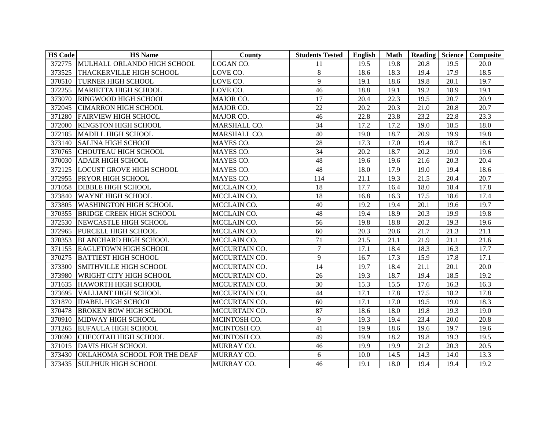| <b>HS Code</b> | <b>HS</b> Name                  | County            | <b>Students Tested</b> | English | <b>Math</b> |      |      | Reading Science Composite |
|----------------|---------------------------------|-------------------|------------------------|---------|-------------|------|------|---------------------------|
| 372775         | MULHALL ORLANDO HIGH SCHOOL     | LOGAN CO.         | 11                     | 19.5    | 19.8        | 20.8 | 19.5 | 20.0                      |
| 373525         | <b>THACKERVILLE HIGH SCHOOL</b> | LOVE CO.          | $\,8\,$                | 18.6    | 18.3        | 19.4 | 17.9 | 18.5                      |
| 370510         | <b>TURNER HIGH SCHOOL</b>       | LOVE CO.          | 9                      | 19.1    | 18.6        | 19.8 | 20.1 | 19.7                      |
| 372255         | <b>MARIETTA HIGH SCHOOL</b>     | LOVE CO.          | 46                     | 18.8    | 19.1        | 19.2 | 18.9 | 19.1                      |
| 373070         | RINGWOOD HIGH SCHOOL            | MAJOR CO.         | 17                     | 20.4    | 22.3        | 19.5 | 20.7 | 20.9                      |
| 372045         | <b>CIMARRON HIGH SCHOOL</b>     | MAJOR CO.         | 22                     | 20.2    | 20.3        | 21.0 | 20.8 | 20.7                      |
|                | 371280 FAIRVIEW HIGH SCHOOL     | MAJOR CO.         | 46                     | 22.8    | 23.8        | 23.2 | 22.8 | 23.3                      |
| 372000         | <b>KINGSTON HIGH SCHOOL</b>     | MARSHALL CO.      | 34                     | 17.2    | 17.2        | 19.0 | 18.5 | 18.0                      |
| 372185         | MADILL HIGH SCHOOL              | MARSHALL CO.      | 40                     | 19.0    | 18.7        | 20.9 | 19.9 | 19.8                      |
| 373140         | <b>SALINA HIGH SCHOOL</b>       | MAYES CO.         | 28                     | 17.3    | 17.0        | 19.4 | 18.7 | 18.1                      |
| 370765         | CHOUTEAU HIGH SCHOOL            | MAYES CO.         | 34                     | 20.2    | 18.7        | 20.2 | 19.0 | 19.6                      |
| 370030         | <b>ADAIR HIGH SCHOOL</b>        | MAYES CO.         | 48                     | 19.6    | 19.6        | 21.6 | 20.3 | 20.4                      |
| 372125         | <b>LOCUST GROVE HIGH SCHOOL</b> | MAYES CO.         | 48                     | 18.0    | 17.9        | 19.0 | 19.4 | 18.6                      |
| 372955         | PRYOR HIGH SCHOOL               | MAYES CO.         | 114                    | 21.1    | 19.3        | 21.5 | 20.4 | 20.7                      |
| 371058         | <b>DIBBLE HIGH SCHOOL</b>       | MCCLAIN CO.       | 18                     | 17.7    | 16.4        | 18.0 | 18.4 | 17.8                      |
| 373840         | <b>WAYNE HIGH SCHOOL</b>        | MCCLAIN CO.       | 18                     | 16.8    | 16.3        | 17.5 | 18.6 | 17.4                      |
| 373805         | <b>WASHINGTON HIGH SCHOOL</b>   | MCCLAIN CO.       | 40                     | 19.2    | 19.4        | 20.1 | 19.6 | 19.7                      |
| 370355         | <b>BRIDGE CREEK HIGH SCHOOL</b> | MCCLAIN CO.       | 48                     | 19.4    | 18.9        | 20.3 | 19.9 | 19.8                      |
| 372530         | NEWCASTLE HIGH SCHOOL           | MCCLAIN CO.       | 56                     | 19.8    | 18.8        | 20.2 | 19.3 | 19.6                      |
| 372965         | PURCELL HIGH SCHOOL             | MCCLAIN CO.       | 60                     | 20.3    | 20.6        | 21.7 | 21.3 | 21.1                      |
| 370353         | <b>BLANCHARD HIGH SCHOOL</b>    | MCCLAIN CO.       | 71                     | 21.5    | 21.1        | 21.9 | 21.1 | 21.6                      |
| 371155         | <b>EAGLETOWN HIGH SCHOOL</b>    | MCCURTAIN CO.     | $\overline{7}$         | 17.1    | 18.4        | 18.3 | 16.3 | 17.7                      |
| 370275         | <b>BATTIEST HIGH SCHOOL</b>     | MCCURTAIN CO.     | 9                      | 16.7    | 17.3        | 15.9 | 17.8 | 17.1                      |
| 373300         | SMITHVILLE HIGH SCHOOL          | MCCURTAIN CO.     | 14                     | 19.7    | 18.4        | 21.1 | 20.1 | 20.0                      |
| 373980         | WRIGHT CITY HIGH SCHOOL         | MCCURTAIN CO.     | 26                     | 19.3    | 18.7        | 19.4 | 18.5 | 19.2                      |
| 371635         | <b>HAWORTH HIGH SCHOOL</b>      | MCCURTAIN CO.     | 30                     | 15.3    | 15.5        | 17.6 | 16.3 | 16.3                      |
| 373695         | <b>VALLIANT HIGH SCHOOL</b>     | MCCURTAIN CO.     | 44                     | 17.1    | 17.8        | 17.5 | 18.2 | 17.8                      |
| 371870         | <b>IDABEL HIGH SCHOOL</b>       | MCCURTAIN CO.     | 60                     | 17.1    | 17.0        | 19.5 | 19.0 | 18.3                      |
| 370478         | <b>BROKEN BOW HIGH SCHOOL</b>   | MCCURTAIN CO.     | 87                     | 18.6    | 18.0        | 19.8 | 19.3 | 19.0                      |
| 370910         | MIDWAY HIGH SCHOOL              | MCINTOSH CO.      | 9                      | 19.3    | 19.4        | 23.4 | 20.0 | 20.8                      |
| 371265         | <b>EUFAULA HIGH SCHOOL</b>      | MCINTOSH CO.      | 41                     | 19.9    | 18.6        | 19.6 | 19.7 | 19.6                      |
| 370690         | <b>CHECOTAH HIGH SCHOOL</b>     | MCINTOSH CO.      | 49                     | 19.9    | 18.2        | 19.8 | 19.3 | 19.5                      |
| 371015         | <b>DAVIS HIGH SCHOOL</b>        | MURRAY CO.        | 46                     | 19.9    | 19.9        | 21.2 | 20.3 | 20.5                      |
| 373430         | OKLAHOMA SCHOOL FOR THE DEAF    | MURRAY CO.        | 6                      | 10.0    | 14.5        | 14.3 | 14.0 | 13.3                      |
|                | 373435 SULPHUR HIGH SCHOOL      | <b>MURRAY CO.</b> | 46                     | 19.1    | 18.0        | 19.4 | 19.4 | 19.2                      |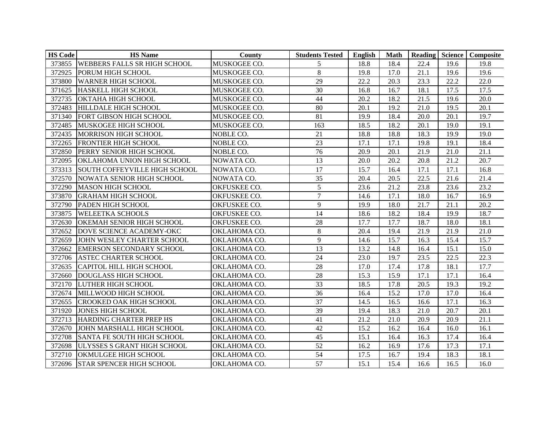| <b>HS Code</b> | <b>HS</b> Name                      | County       | <b>Students Tested</b> | <b>English</b> | <b>Math</b> | Reading Science |      | Composite |
|----------------|-------------------------------------|--------------|------------------------|----------------|-------------|-----------------|------|-----------|
|                | 373855 WEBBERS FALLS SR HIGH SCHOOL | MUSKOGEE CO. | 5                      | 18.8           | 18.4        | 22.4            | 19.6 | 19.8      |
| 372925         | PORUM HIGH SCHOOL                   | MUSKOGEE CO. | 8                      | 19.8           | 17.0        | 21.1            | 19.6 | 19.6      |
| 373800         | <b>WARNER HIGH SCHOOL</b>           | MUSKOGEE CO. | 29                     | 22.2           | 20.3        | 23.3            | 22.2 | 22.0      |
| 371625         | HASKELL HIGH SCHOOL                 | MUSKOGEE CO. | 30                     | 16.8           | 16.7        | 18.1            | 17.5 | 17.5      |
| 372735         | OKTAHA HIGH SCHOOL                  | MUSKOGEE CO. | 44                     | 20.2           | 18.2        | 21.5            | 19.6 | 20.0      |
| 372483         | <b>HILLDALE HIGH SCHOOL</b>         | MUSKOGEE CO. | 80                     | 20.1           | 19.2        | 21.0            | 19.5 | 20.1      |
| 371340         | FORT GIBSON HIGH SCHOOL             | MUSKOGEE CO. | 81                     | 19.9           | 18.4        | 20.0            | 20.1 | 19.7      |
| 372485         | MUSKOGEE HIGH SCHOOL                | MUSKOGEE CO. | 163                    | 18.5           | 18.2        | 20.1            | 19.0 | 19.1      |
| 372435         | MORRISON HIGH SCHOOL                | NOBLE CO.    | 21                     | 18.8           | 18.8        | 18.3            | 19.9 | 19.0      |
| 372265         | <b>FRONTIER HIGH SCHOOL</b>         | NOBLE CO.    | 23                     | 17.1           | 17.1        | 19.8            | 19.1 | 18.4      |
| 372850         | PERRY SENIOR HIGH SCHOOL            | NOBLE CO.    | 76                     | 20.9           | 20.1        | 21.9            | 21.0 | 21.1      |
| 372095         | OKLAHOMA UNION HIGH SCHOOL          | NOWATA CO.   | 13                     | 20.0           | 20.2        | 20.8            | 21.2 | 20.7      |
| 373313         | SOUTH COFFEYVILLE HIGH SCHOOL       | NOWATA CO.   | $\overline{17}$        | 15.7           | 16.4        | 17.1            | 17.1 | 16.8      |
| 372570         | NOWATA SENIOR HIGH SCHOOL           | NOWATA CO.   | 35                     | 20.4           | 20.5        | 22.5            | 21.6 | 21.4      |
| 372290         | <b>MASON HIGH SCHOOL</b>            | OKFUSKEE CO. | 5                      | 23.6           | 21.2        | 23.8            | 23.6 | 23.2      |
| 373870         | <b>GRAHAM HIGH SCHOOL</b>           | OKFUSKEE CO. | $\overline{7}$         | 14.6           | 17.1        | 18.0            | 16.7 | 16.9      |
| 372790         | PADEN HIGH SCHOOL                   | OKFUSKEE CO. | 9                      | 19.9           | 18.0        | 21.7            | 21.1 | 20.2      |
| 373875         | <b>WELEETKA SCHOOLS</b>             | OKFUSKEE CO. | 14                     | 18.6           | 18.2        | 18.4            | 19.9 | 18.7      |
| 372630         | <b>OKEMAH SENIOR HIGH SCHOOL</b>    | OKFUSKEE CO. | 28                     | 17.7           | 17.7        | 18.7            | 18.0 | 18.1      |
| 372652         | DOVE SCIENCE ACADEMY-OKC            | OKLAHOMA CO. | $\,8\,$                | 20.4           | 19.4        | 21.9            | 21.9 | 21.0      |
| 372659         | JOHN WESLEY CHARTER SCHOOL          | OKLAHOMA CO. | 9                      | 14.6           | 15.7        | 16.3            | 15.4 | 15.7      |
| 372662         | <b>EMERSON SECONDARY SCHOOL</b>     | OKLAHOMA CO. | 13                     | 13.2           | 14.8        | 16.4            | 15.1 | 15.0      |
| 372706         | <b>ASTEC CHARTER SCHOOL</b>         | OKLAHOMA CO. | 24                     | 23.0           | 19.7        | 23.5            | 22.5 | 22.3      |
| 372635         | <b>CAPITOL HILL HIGH SCHOOL</b>     | OKLAHOMA CO. | 28                     | 17.0           | 17.4        | 17.8            | 18.1 | 17.7      |
| 372660         | <b>DOUGLASS HIGH SCHOOL</b>         | OKLAHOMA CO. | 28                     | 15.3           | 15.9        | 17.1            | 17.1 | 16.4      |
| 372170         | LUTHER HIGH SCHOOL                  | OKLAHOMA CO. | 33                     | 18.5           | 17.8        | 20.5            | 19.3 | 19.2      |
| 372674         | MILLWOOD HIGH SCHOOL                | OKLAHOMA CO. | 36                     | 16.4           | 15.2        | 17.0            | 17.0 | 16.4      |
| 372655         | <b>CROOKED OAK HIGH SCHOOL</b>      | OKLAHOMA CO. | 37                     | 14.5           | 16.5        | 16.6            | 17.1 | 16.3      |
| 371920         | <b>JONES HIGH SCHOOL</b>            | OKLAHOMA CO. | 39                     | 19.4           | 18.3        | 21.0            | 20.7 | 20.1      |
| 372713         | HARDING CHARTER PREP HS             | OKLAHOMA CO. | 41                     | 21.2           | 21.0        | 20.9            | 20.9 | 21.1      |
| 372670         | JOHN MARSHALL HIGH SCHOOL           | OKLAHOMA CO. | 42                     | 15.2           | 16.2        | 16.4            | 16.0 | 16.1      |
| 372708         | <b>SANTA FE SOUTH HIGH SCHOOL</b>   | OKLAHOMA CO. | 45                     | 15.1           | 16.4        | 16.3            | 17.4 | 16.4      |
| 372698         | <b>ULYSSES S GRANT HIGH SCHOOL</b>  | OKLAHOMA CO. | 52                     | 16.2           | 16.9        | 17.6            | 17.3 | 17.1      |
| 372710         | OKMULGEE HIGH SCHOOL                | OKLAHOMA CO. | 54                     | 17.5           | 16.7        | 19.4            | 18.3 | 18.1      |
| 372696         | <b>STAR SPENCER HIGH SCHOOL</b>     | OKLAHOMA CO. | 57                     | 15.1           | 15.4        | 16.6            | 16.5 | 16.0      |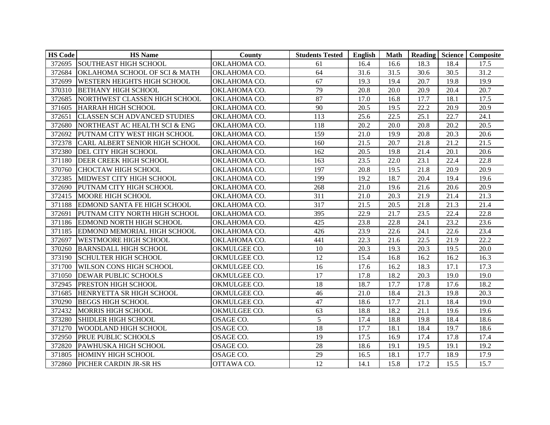| <b>HS Code</b> | <b>HS</b> Name                           | County       | <b>Students Tested</b> | English | <b>Math</b> |      |      | <b>Reading Science Composite</b> |
|----------------|------------------------------------------|--------------|------------------------|---------|-------------|------|------|----------------------------------|
| 372695         | <b>SOUTHEAST HIGH SCHOOL</b>             | OKLAHOMA CO. | 61                     | 16.4    | 16.6        | 18.3 | 18.4 | 17.5                             |
| 372684         | <b>OKLAHOMA SCHOOL OF SCI &amp; MATH</b> | OKLAHOMA CO. | 64                     | 31.6    | 31.5        | 30.6 | 30.5 | 31.2                             |
| 372699         | <b>WESTERN HEIGHTS HIGH SCHOOL</b>       | OKLAHOMA CO. | 67                     | 19.3    | 19.4        | 20.7 | 19.8 | 19.9                             |
| 370310         | <b>BETHANY HIGH SCHOOL</b>               | OKLAHOMA CO. | 79                     | 20.8    | 20.0        | 20.9 | 20.4 | 20.7                             |
| 372685         | NORTHWEST CLASSEN HIGH SCHOOL            | OKLAHOMA CO. | 87                     | 17.0    | 16.8        | 17.7 | 18.1 | 17.5                             |
| 371605         | <b>HARRAH HIGH SCHOOL</b>                | OKLAHOMA CO. | 90                     | 20.5    | 19.5        | 22.2 | 20.9 | 20.9                             |
| 372651         | <b>CLASSEN SCH ADVANCED STUDIES</b>      | OKLAHOMA CO. | 113                    | 25.6    | 22.5        | 25.1 | 22.7 | 24.1                             |
| 372680         | NORTHEAST AC HEALTH SCI & ENG            | OKLAHOMA CO. | 118                    | 20.2    | 20.0        | 20.8 | 20.2 | 20.5                             |
| 372692         | PUTNAM CITY WEST HIGH SCHOOL             | OKLAHOMA CO. | 159                    | 21.0    | 19.9        | 20.8 | 20.3 | 20.6                             |
| 372378         | <b>CARL ALBERT SENIOR HIGH SCHOOL</b>    | OKLAHOMA CO. | 160                    | 21.5    | 20.7        | 21.8 | 21.2 | 21.5                             |
| 372380         | DEL CITY HIGH SCHOOL                     | OKLAHOMA CO. | 162                    | 20.5    | 19.8        | 21.4 | 20.1 | 20.6                             |
| 371180         | <b>DEER CREEK HIGH SCHOOL</b>            | OKLAHOMA CO. | 163                    | 23.5    | 22.0        | 23.1 | 22.4 | 22.8                             |
| 370760         | <b>CHOCTAW HIGH SCHOOL</b>               | OKLAHOMA CO. | 197                    | 20.8    | 19.5        | 21.8 | 20.9 | 20.9                             |
| 372385         | MIDWEST CITY HIGH SCHOOL                 | OKLAHOMA CO. | 199                    | 19.2    | 18.7        | 20.4 | 19.4 | 19.6                             |
| 372690         | PUTNAM CITY HIGH SCHOOL                  | OKLAHOMA CO. | 268                    | 21.0    | 19.6        | 21.6 | 20.6 | 20.9                             |
| 372415         | MOORE HIGH SCHOOL                        | OKLAHOMA CO. | 311                    | 21.0    | 20.3        | 21.9 | 21.4 | 21.3                             |
| 371188         | <b>EDMOND SANTA FE HIGH SCHOOL</b>       | OKLAHOMA CO. | 317                    | 21.5    | 20.5        | 21.8 | 21.3 | 21.4                             |
| 372691         | PUTNAM CITY NORTH HIGH SCHOOL            | OKLAHOMA CO. | 395                    | 22.9    | 21.7        | 23.5 | 22.4 | 22.8                             |
| 371186         | <b>EDMOND NORTH HIGH SCHOOL</b>          | OKLAHOMA CO. | 425                    | 23.8    | 22.8        | 24.1 | 23.2 | 23.6                             |
| 371185         | EDMOND MEMORIAL HIGH SCHOOL              | OKLAHOMA CO. | 426                    | 23.9    | 22.6        | 24.1 | 22.6 | 23.4                             |
| 372697         | <b>WESTMOORE HIGH SCHOOL</b>             | OKLAHOMA CO. | 441                    | 22.3    | 21.6        | 22.5 | 21.9 | 22.2                             |
| 370260         | <b>BARNSDALL HIGH SCHOOL</b>             | OKMULGEE CO. | 10                     | 20.3    | 19.3        | 20.3 | 19.5 | 20.0                             |
| 373190         | <b>SCHULTER HIGH SCHOOL</b>              | OKMULGEE CO. | 12                     | 15.4    | 16.8        | 16.2 | 16.2 | 16.3                             |
| 371700         | <b>WILSON CONS HIGH SCHOOL</b>           | OKMULGEE CO. | 16                     | 17.6    | 16.2        | 18.3 | 17.1 | 17.3                             |
| 371050         | <b>DEWAR PUBLIC SCHOOLS</b>              | OKMULGEE CO. | 17                     | 17.8    | 18.2        | 20.3 | 19.0 | 19.0                             |
| 372945         | <b>PRESTON HIGH SCHOOL</b>               | OKMULGEE CO. | 18                     | 18.7    | 17.7        | 17.8 | 17.6 | 18.2                             |
| 371685         | HENRYETTA SR HIGH SCHOOL                 | OKMULGEE CO. | 46                     | 21.0    | 18.4        | 21.3 | 19.8 | 20.3                             |
| 370290         | <b>BEGGS HIGH SCHOOL</b>                 | OKMULGEE CO. | 47                     | 18.6    | 17.7        | 21.1 | 18.4 | 19.0                             |
| 372432         | MORRIS HIGH SCHOOL                       | OKMULGEE CO. | 63                     | 18.8    | 18.2        | 21.1 | 19.6 | 19.6                             |
| 373280         | <b>SHIDLER HIGH SCHOOL</b>               | OSAGE CO.    | 5                      | 17.4    | 18.8        | 19.8 | 18.4 | 18.6                             |
| 371270         | <b>WOODLAND HIGH SCHOOL</b>              | OSAGE CO.    | 18                     | 17.7    | 18.1        | 18.4 | 19.7 | 18.6                             |
| 372950         | <b>PRUE PUBLIC SCHOOLS</b>               | OSAGE CO.    | 19                     | 17.5    | 16.9        | 17.4 | 17.8 | 17.4                             |
| 372820         | PAWHUSKA HIGH SCHOOL                     | OSAGE CO.    | 28                     | 18.6    | 19.1        | 19.5 | 19.1 | 19.2                             |
| 371805         | <b>HOMINY HIGH SCHOOL</b>                | OSAGE CO.    | 29                     | 16.5    | 18.1        | 17.7 | 18.9 | 17.9                             |
| 372860         | PICHER CARDIN JR-SR HS                   | OTTAWA CO.   | $\overline{12}$        | 14.1    | 15.8        | 17.2 | 15.5 | 15.7                             |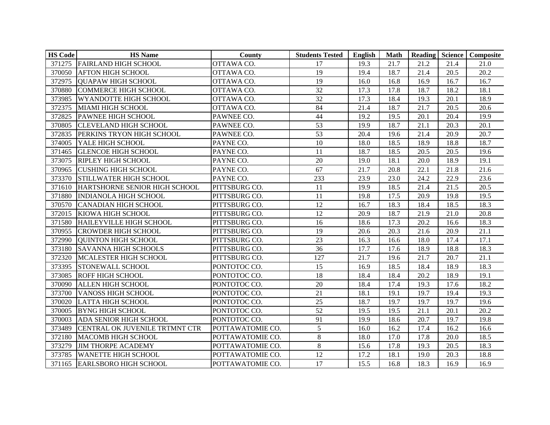| <b>HS Code</b> | <b>HS</b> Name                 | County           | <b>Students Tested</b> | English | <b>Math</b> |      |      | Reading Science Composite |
|----------------|--------------------------------|------------------|------------------------|---------|-------------|------|------|---------------------------|
|                | 371275 FAIRLAND HIGH SCHOOL    | OTTAWA CO.       | 17                     | 19.3    | 21.7        | 21.2 | 21.4 | 21.0                      |
| 370050         | <b>AFTON HIGH SCHOOL</b>       | OTTAWA CO.       | 19                     | 19.4    | 18.7        | 21.4 | 20.5 | 20.2                      |
| 372975         | <b>QUAPAW HIGH SCHOOL</b>      | OTTAWA CO.       | 19                     | 16.0    | 16.8        | 16.9 | 16.7 | 16.7                      |
| 370880         | <b>COMMERCE HIGH SCHOOL</b>    | OTTAWA CO.       | 32                     | 17.3    | 17.8        | 18.7 | 18.2 | 18.1                      |
| 373985         | <b>WYANDOTTE HIGH SCHOOL</b>   | OTTAWA CO.       | 32                     | 17.3    | 18.4        | 19.3 | 20.1 | 18.9                      |
| 372375         | <b>MIAMI HIGH SCHOOL</b>       | OTTAWA CO.       | 84                     | 21.4    | 18.7        | 21.7 | 20.5 | 20.6                      |
|                | 372825 PAWNEE HIGH SCHOOL      | PAWNEE CO.       | 44                     | 19.2    | 19.5        | 20.1 | 20.4 | 19.9                      |
| 370805         | <b>CLEVELAND HIGH SCHOOL</b>   | PAWNEE CO.       | 53                     | 19.9    | 18.7        | 21.1 | 20.3 | 20.1                      |
| 372835         | PERKINS TRYON HIGH SCHOOL      | PAWNEE CO.       | 53                     | 20.4    | 19.6        | 21.4 | 20.9 | 20.7                      |
| 374005         | YALE HIGH SCHOOL               | PAYNE CO.        | 10                     | 18.0    | 18.5        | 18.9 | 18.8 | 18.7                      |
| 371465         | <b>GLENCOE HIGH SCHOOL</b>     | PAYNE CO.        | 11                     | 18.7    | 18.5        | 20.5 | 20.5 | 19.6                      |
| 373075         | <b>RIPLEY HIGH SCHOOL</b>      | PAYNE CO.        | 20                     | 19.0    | 18.1        | 20.0 | 18.9 | 19.1                      |
| 370965         | <b>CUSHING HIGH SCHOOL</b>     | PAYNE CO.        | 67                     | 21.7    | 20.8        | 22.1 | 21.8 | 21.6                      |
| 373370         | STILLWATER HIGH SCHOOL         | PAYNE CO.        | 233                    | 23.9    | 23.0        | 24.2 | 22.9 | 23.6                      |
| 371610         | HARTSHORNE SENIOR HIGH SCHOOL  | PITTSBURG CO.    | 11                     | 19.9    | 18.5        | 21.4 | 21.5 | 20.5                      |
| 371880         | <b>INDIANOLA HIGH SCHOOL</b>   | PITTSBURG CO.    | 11                     | 19.8    | 17.5        | 20.9 | 19.8 | 19.5                      |
| 370570         | <b>CANADIAN HIGH SCHOOL</b>    | PITTSBURG CO.    | 12                     | 16.7    | 18.3        | 18.4 | 18.5 | 18.3                      |
| 372015         | KIOWA HIGH SCHOOL              | PITTSBURG CO.    | 12                     | 20.9    | 18.7        | 21.9 | 21.0 | 20.8                      |
| 371580         | HAILEYVILLE HIGH SCHOOL        | PITTSBURG CO.    | 16                     | 18.6    | 17.3        | 20.2 | 16.6 | 18.3                      |
| 370955         | <b>CROWDER HIGH SCHOOL</b>     | PITTSBURG CO.    | 19                     | 20.6    | 20.3        | 21.6 | 20.9 | 21.1                      |
| 372990         | <b>QUINTON HIGH SCHOOL</b>     | PITTSBURG CO.    | 23                     | 16.3    | 16.6        | 18.0 | 17.4 | 17.1                      |
| 373180         | <b>SAVANNA HIGH SCHOOLS</b>    | PITTSBURG CO.    | 36                     | 17.7    | 17.6        | 18.9 | 18.8 | 18.3                      |
| 372320         | MCALESTER HIGH SCHOOL          | PITTSBURG CO.    | 127                    | 21.7    | 19.6        | 21.7 | 20.7 | 21.1                      |
| 373395         | <b>STONEWALL SCHOOL</b>        | PONTOTOC CO.     | 15                     | 16.9    | 18.5        | 18.4 | 18.9 | 18.3                      |
| 373085         | <b>ROFF HIGH SCHOOL</b>        | PONTOTOC CO.     | 18                     | 18.4    | 18.4        | 20.2 | 18.9 | 19.1                      |
| 370090         | <b>ALLEN HIGH SCHOOL</b>       | PONTOTOC CO.     | 20                     | 18.4    | 17.4        | 19.3 | 17.6 | 18.2                      |
| 373700         | <b>VANOSS HIGH SCHOOL</b>      | PONTOTOC CO.     | $\overline{21}$        | 18.1    | 19.1        | 19.7 | 19.4 | 19.3                      |
| 370020         | <b>LATTA HIGH SCHOOL</b>       | PONTOTOC CO.     | 25                     | 18.7    | 19.7        | 19.7 | 19.7 | 19.6                      |
| 370005         | <b>BYNG HIGH SCHOOL</b>        | PONTOTOC CO.     | 52                     | 19.5    | 19.5        | 21.1 | 20.1 | 20.2                      |
| 370003         | <b>ADA SENIOR HIGH SCHOOL</b>  | PONTOTOC CO.     | 91                     | 19.9    | 18.6        | 20.7 | 19.7 | 19.8                      |
| 373489         | CENTRAL OK JUVENILE TRTMNT CTR | POTTAWATOMIE CO. | 5                      | 16.0    | 16.2        | 17.4 | 16.2 | 16.6                      |
| 372180         | <b>MACOMB HIGH SCHOOL</b>      | POTTAWATOMIE CO. | 8                      | 18.0    | 17.0        | 17.8 | 20.0 | 18.5                      |
| 373279         | <b>JIM THORPE ACADEMY</b>      | POTTAWATOMIE CO. | $\,8\,$                | 15.6    | 17.8        | 19.3 | 20.5 | 18.3                      |
| 373785         | <b>WANETTE HIGH SCHOOL</b>     | POTTAWATOMIE CO. | 12                     | 17.2    | 18.1        | 19.0 | 20.3 | 18.8                      |
|                | 371165 EARLSBORO HIGH SCHOOL   | POTTAWATOMIE CO. | 17                     | 15.5    | 16.8        | 18.3 | 16.9 | 16.9                      |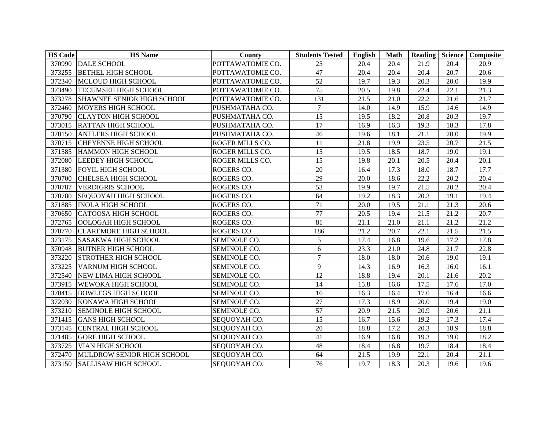| <b>HS Code</b> | <b>HS</b> Name               | County           | <b>Students Tested</b> | English | <b>Math</b> |      |      | Reading Science Composite |
|----------------|------------------------------|------------------|------------------------|---------|-------------|------|------|---------------------------|
|                | 370990 DALE SCHOOL           | POTTAWATOMIE CO. | 25                     | 20.4    | 20.4        | 21.9 | 20.4 | 20.9                      |
| 373255         | <b>BETHEL HIGH SCHOOL</b>    | POTTAWATOMIE CO. | 47                     | 20.4    | 20.4        | 20.4 | 20.7 | 20.6                      |
| 372340         | MCLOUD HIGH SCHOOL           | POTTAWATOMIE CO. | 52                     | 19.7    | 19.3        | 20.3 | 20.0 | 19.9                      |
| 373490         | <b>TECUMSEH HIGH SCHOOL</b>  | POTTAWATOMIE CO. | 75                     | 20.5    | 19.8        | 22.4 | 22.1 | 21.3                      |
| 373278         | SHAWNEE SENIOR HIGH SCHOOL   | POTTAWATOMIE CO. | 131                    | 21.5    | 21.0        | 22.2 | 21.6 | 21.7                      |
| 372460         | MOYERS HIGH SCHOOL           | PUSHMATAHA CO.   | $\overline{7}$         | 14.0    | 14.9        | 15.9 | 14.6 | 14.9                      |
| 370790         | <b>CLAYTON HIGH SCHOOL</b>   | PUSHMATAHA CO.   | 15                     | 19.5    | 18.2        | 20.8 | 20.3 | 19.7                      |
|                | 373015 RATTAN HIGH SCHOOL    | PUSHMATAHA CO.   | 17                     | 16.9    | 16.3        | 19.3 | 18.3 | 17.8                      |
| 370150         | <b>ANTLERS HIGH SCHOOL</b>   | PUSHMATAHA CO.   | 46                     | 19.6    | 18.1        | 21.1 | 20.0 | 19.9                      |
| 370715         | <b>CHEYENNE HIGH SCHOOL</b>  | ROGER MILLS CO.  | 11                     | 21.8    | 19.9        | 23.5 | 20.7 | 21.5                      |
| 371585         | HAMMON HIGH SCHOOL           | ROGER MILLS CO.  | 15                     | 19.5    | 18.5        | 18.7 | 19.0 | 19.1                      |
| 372080         | <b>LEEDEY HIGH SCHOOL</b>    | ROGER MILLS CO.  | 15                     | 19.8    | 20.1        | 20.5 | 20.4 | 20.1                      |
| 371380         | <b>FOYIL HIGH SCHOOL</b>     | ROGERS CO.       | 20                     | 16.4    | 17.3        | 18.0 | 18.7 | 17.7                      |
| 370700         | <b>CHELSEA HIGH SCHOOL</b>   | ROGERS CO.       | $\overline{29}$        | 20.0    | 18.6        | 22.2 | 20.2 | 20.4                      |
| 370787         | <b>VERDIGRIS SCHOOL</b>      | ROGERS CO.       | 53                     | 19.9    | 19.7        | 21.5 | 20.2 | 20.4                      |
| 370780         | <b>SEQUOYAH HIGH SCHOOL</b>  | ROGERS CO.       | 64                     | 19.2    | 18.3        | 20.3 | 19.1 | 19.4                      |
| 371885         | <b>INOLA HIGH SCHOOL</b>     | ROGERS CO.       | 71                     | 20.0    | 19.5        | 21.1 | 21.3 | 20.6                      |
| 370650         | <b>CATOOSA HIGH SCHOOL</b>   | ROGERS CO.       | $77\,$                 | 20.5    | 19.4        | 21.5 | 21.2 | 20.7                      |
| 372765         | OOLOGAH HIGH SCHOOL          | ROGERS CO.       | 81                     | 21.1    | 21.0        | 21.1 | 21.2 | 21.2                      |
| 370770         | <b>CLAREMORE HIGH SCHOOL</b> | ROGERS CO.       | 186                    | 21.2    | 20.7        | 22.1 | 21.5 | 21.5                      |
| 373175         | <b>SASAKWA HIGH SCHOOL</b>   | SEMINOLE CO.     | 5                      | 17.4    | 16.8        | 19.6 | 17.2 | 17.8                      |
| 370948         | <b>BUTNER HIGH SCHOOL</b>    | SEMINOLE CO.     | 6                      | 23.3    | 21.0        | 24.8 | 21.7 | 22.8                      |
| 373220         | STROTHER HIGH SCHOOL         | SEMINOLE CO.     | $\overline{7}$         | 18.0    | 18.0        | 20.6 | 19.0 | 19.1                      |
| 373225         | VARNUM HIGH SCHOOL           | SEMINOLE CO.     | 9                      | 14.3    | 16.9        | 16.3 | 16.0 | 16.1                      |
| 372540         | <b>NEW LIMA HIGH SCHOOL</b>  | SEMINOLE CO.     | 12                     | 18.8    | 19.4        | 20.1 | 21.6 | 20.2                      |
| 373915         | <b>WEWOKA HIGH SCHOOL</b>    | SEMINOLE CO.     | 14                     | 15.8    | 16.6        | 17.5 | 17.6 | 17.0                      |
| 370415         | <b>BOWLEGS HIGH SCHOOL</b>   | SEMINOLE CO.     | 16                     | 16.3    | 16.4        | 17.0 | 16.4 | 16.6                      |
| 372030         | KONAWA HIGH SCHOOL           | SEMINOLE CO.     | $27\,$                 | 17.3    | 18.9        | 20.0 | 19.4 | 19.0                      |
| 373210         | <b>SEMINOLE HIGH SCHOOL</b>  | SEMINOLE CO.     | 57                     | 20.9    | 21.5        | 20.9 | 20.6 | 21.1                      |
| 371415         | <b>GANS HIGH SCHOOL</b>      | SEQUOYAH CO.     | 15                     | 16.7    | 15.6        | 19.2 | 17.3 | 17.4                      |
| 373145         | <b>CENTRAL HIGH SCHOOL</b>   | SEQUOYAH CO.     | 20                     | 18.8    | 17.2        | 20.3 | 18.9 | 18.8                      |
| 371485         | <b>GORE HIGH SCHOOL</b>      | SEQUOYAH CO.     | 41                     | 16.9    | 16.8        | 19.3 | 19.0 | 18.2                      |
| 373725         | <b>VIAN HIGH SCHOOL</b>      | SEQUOYAH CO.     | 48                     | 18.4    | 16.8        | 19.7 | 18.4 | 18.4                      |
| 372470         | MULDROW SENIOR HIGH SCHOOL   | SEQUOYAH CO.     | 64                     | 21.5    | 19.9        | 22.1 | 20.4 | 21.1                      |
| 373150         | <b>SALLISAW HIGH SCHOOL</b>  | SEQUOYAH CO.     | 76                     | 19.7    | 18.3        | 20.3 | 19.6 | 19.6                      |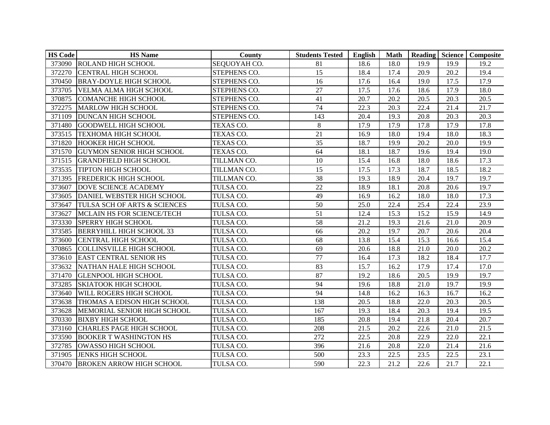| <b>HS Code</b> | <b>HS</b> Name                     | County       | <b>Students Tested</b> | English | <b>Math</b> |      |      | Reading Science Composite |
|----------------|------------------------------------|--------------|------------------------|---------|-------------|------|------|---------------------------|
|                | 373090 ROLAND HIGH SCHOOL          | SEQUOYAH CO. | 81                     | 18.6    | 18.0        | 19.9 | 19.9 | 19.2                      |
| 372270         | <b>CENTRAL HIGH SCHOOL</b>         | STEPHENS CO. | 15                     | 18.4    | 17.4        | 20.9 | 20.2 | 19.4                      |
| 370450         | <b>BRAY-DOYLE HIGH SCHOOL</b>      | STEPHENS CO. | 16                     | 17.6    | 16.4        | 19.0 | 17.5 | 17.9                      |
| 373705         | <b>VELMA ALMA HIGH SCHOOL</b>      | STEPHENS CO. | 27                     | 17.5    | 17.6        | 18.6 | 17.9 | 18.0                      |
| 370875         | <b>COMANCHE HIGH SCHOOL</b>        | STEPHENS CO. | 41                     | 20.7    | 20.2        | 20.5 | 20.3 | 20.5                      |
| 372275         | <b>MARLOW HIGH SCHOOL</b>          | STEPHENS CO. | 74                     | 22.3    | 20.3        | 22.4 | 21.4 | 21.7                      |
| 371109         | <b>DUNCAN HIGH SCHOOL</b>          | STEPHENS CO. | 143                    | 20.4    | 19.3        | 20.8 | 20.3 | 20.3                      |
| 371480         | <b>GOODWELL HIGH SCHOOL</b>        | TEXAS CO.    | $\,8\,$                | 17.9    | 17.9        | 17.8 | 17.9 | 17.8                      |
| 373515         | <b>TEXHOMA HIGH SCHOOL</b>         | TEXAS CO.    | 21                     | 16.9    | 18.0        | 19.4 | 18.0 | 18.3                      |
| 371820         | <b>HOOKER HIGH SCHOOL</b>          | TEXAS CO.    | 35                     | 18.7    | 19.9        | 20.2 | 20.0 | 19.9                      |
| 371570         | <b>GUYMON SENIOR HIGH SCHOOL</b>   | TEXAS CO.    | 64                     | 18.1    | 18.7        | 19.6 | 19.4 | 19.0                      |
| 371515         | <b>GRANDFIELD HIGH SCHOOL</b>      | TILLMAN CO.  | 10                     | 15.4    | 16.8        | 18.0 | 18.6 | 17.3                      |
| 373535         | <b>TIPTON HIGH SCHOOL</b>          | TILLMAN CO.  | 15                     | 17.5    | 17.3        | 18.7 | 18.5 | 18.2                      |
| 371395         | <b>FREDERICK HIGH SCHOOL</b>       | TILLMAN CO.  | $\overline{38}$        | 19.3    | 18.9        | 20.4 | 19.7 | 19.7                      |
| 373607         | DOVE SCIENCE ACADEMY               | TULSA CO.    | 22                     | 18.9    | 18.1        | 20.8 | 20.6 | 19.7                      |
| 373605         | DANIEL WEBSTER HIGH SCHOOL         | TULSA CO.    | 49                     | 16.9    | 16.2        | 18.0 | 18.0 | 17.3                      |
| 373647         | TULSA SCH OF ARTS & SCIENCES       | TULSA CO.    | 50                     | 25.0    | 22.4        | 25.4 | 22.4 | 23.9                      |
| 373627         | MCLAIN HS FOR SCIENCE/TECH         | TULSA CO.    | 51                     | 12.4    | 15.3        | 15.2 | 15.9 | 14.9                      |
| 373330         | SPERRY HIGH SCHOOL                 | TULSA CO.    | 58                     | 21.2    | 19.3        | 21.6 | 21.0 | 20.9                      |
| 373585         | <b>BERRYHILL HIGH SCHOOL 33</b>    | TULSA CO.    | 66                     | 20.2    | 19.7        | 20.7 | 20.6 | 20.4                      |
| 373600         | <b>CENTRAL HIGH SCHOOL</b>         | TULSA CO.    | 68                     | 13.8    | 15.4        | 15.3 | 16.6 | 15.4                      |
| 370865         | <b>COLLINSVILLE HIGH SCHOOL</b>    | TULSA CO.    | 69                     | 20.6    | 18.8        | 21.0 | 20.0 | 20.2                      |
| 373610         | <b>EAST CENTRAL SENIOR HS</b>      | TULSA CO.    | 77                     | 16.4    | 17.3        | 18.2 | 18.4 | 17.7                      |
| 373632         | NATHAN HALE HIGH SCHOOL            | TULSA CO.    | 83                     | 15.7    | 16.2        | 17.9 | 17.4 | 17.0                      |
| 371470         | <b>GLENPOOL HIGH SCHOOL</b>        | TULSA CO.    | 87                     | 19.2    | 18.6        | 20.5 | 19.9 | 19.7                      |
| 373285         | <b>SKIATOOK HIGH SCHOOL</b>        | TULSA CO.    | 94                     | 19.6    | 18.8        | 21.0 | 19.7 | 19.9                      |
| 373640         | <b>WILL ROGERS HIGH SCHOOL</b>     | TULSA CO.    | $\overline{94}$        | 14.8    | 16.2        | 16.3 | 16.7 | 16.2                      |
| 373638         | <b>THOMAS A EDISON HIGH SCHOOL</b> | TULSA CO.    | 138                    | 20.5    | 18.8        | 22.0 | 20.3 | 20.5                      |
| 373628         | MEMORIAL SENIOR HIGH SCHOOL        | TULSA CO.    | 167                    | 19.3    | 18.4        | 20.3 | 19.4 | 19.5                      |
| 370330         | <b>BIXBY HIGH SCHOOL</b>           | TULSA CO.    | 185                    | 20.8    | 19.4        | 21.8 | 20.4 | 20.7                      |
| 373160         | <b>CHARLES PAGE HIGH SCHOOL</b>    | TULSA CO.    | 208                    | 21.5    | 20.2        | 22.6 | 21.0 | 21.5                      |
| 373590         | <b>BOOKER T WASHINGTON HS</b>      | TULSA CO.    | 272                    | 22.5    | 20.8        | 22.9 | 22.0 | 22.1                      |
| 372785         | OWASSO HIGH SCHOOL                 | TULSA CO.    | 396                    | 21.6    | 20.8        | 22.0 | 21.4 | 21.6                      |
| 371905         | <b>JENKS HIGH SCHOOL</b>           | TULSA CO.    | 500                    | 23.3    | 22.5        | 23.5 | 22.5 | 23.1                      |
|                | 370470 BROKEN ARROW HIGH SCHOOL    | TULSA CO.    | 590                    | 22.3    | 21.2        | 22.6 | 21.7 | 22.1                      |